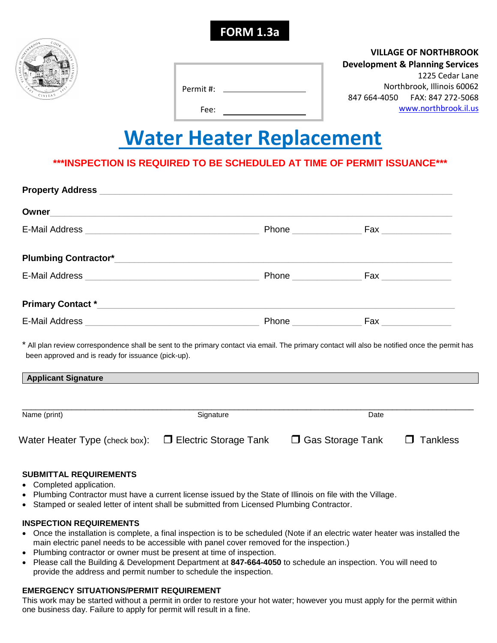



## **VILLAGE OF NORTHBROOK**

#### **Development & Planning Services**

Permit #:

Fee:

1225 Cedar Lane Northbrook, Illinois 60062 847 664-4050 FAX: 847 272-5068 [www.northbrook.il.us](http://www.northbrook.il.us/)

# **Water Heater Replacement**

## **\*\*\*INSPECTION IS REQUIRED TO BE SCHEDULED AT TIME OF PERMIT ISSUANCE\*\*\***

| Owner                                                                                                                                                                                                | <u> 1989 - Jan Barnett, amerikansk politiker (d. 1989)</u> |                                   |                 |
|------------------------------------------------------------------------------------------------------------------------------------------------------------------------------------------------------|------------------------------------------------------------|-----------------------------------|-----------------|
|                                                                                                                                                                                                      |                                                            |                                   |                 |
|                                                                                                                                                                                                      |                                                            |                                   |                 |
|                                                                                                                                                                                                      |                                                            |                                   |                 |
|                                                                                                                                                                                                      |                                                            |                                   |                 |
|                                                                                                                                                                                                      |                                                            |                                   |                 |
| * All plan review correspondence shall be sent to the primary contact via email. The primary contact will also be notified once the permit has<br>been approved and is ready for issuance (pick-up). |                                                            |                                   |                 |
| <b>Applicant Signature</b>                                                                                                                                                                           |                                                            |                                   |                 |
| Name (print)                                                                                                                                                                                         | Signature                                                  |                                   | Date            |
| Water Heater Type (check box):                                                                                                                                                                       | $\Box$ Electric Storage Tank                               | <b>Gas Storage Tank</b><br>$\Box$ | <b>Tankless</b> |

#### **SUBMITTAL REQUIREMENTS**

- Completed application.
- Plumbing Contractor must have a current license issued by the State of Illinois on file with the Village.
- Stamped or sealed letter of intent shall be submitted from Licensed Plumbing Contractor.

#### **INSPECTION REQUIREMENTS**

- Once the installation is complete, a final inspection is to be scheduled (Note if an electric water heater was installed the main electric panel needs to be accessible with panel cover removed for the inspection.)
- Plumbing contractor or owner must be present at time of inspection.
- Please call the Building & Development Department at **847-664-4050** to schedule an inspection. You will need to provide the address and permit number to schedule the inspection.

## **EMERGENCY SITUATIONS/PERMIT REQUIREMENT**

This work may be started without a permit in order to restore your hot water; however you must apply for the permit within one business day. Failure to apply for permit will result in a fine.